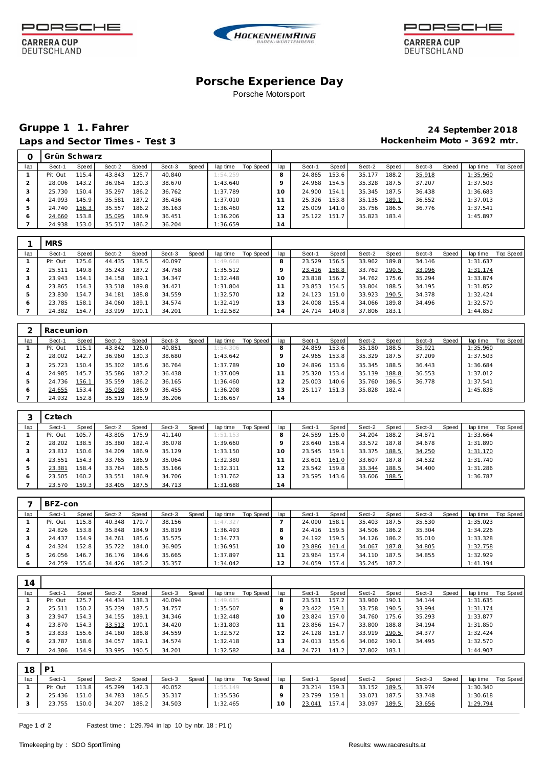

**CARRERA CUP** 

DEUTSCHLAND





**CARRERA CUP** DEUTSCHLAND

### **Porsche Experience Day** Porsche Motorsport

## **Gruppe 1 1. Fahrer 24 September 2018** Laps and Sector Times - Test 3 **Access 20 Access 20 Access 20 Access 20 Access 20 Access 20 Access 20 Access 20 Access 20 Access 20 Access 20 Access 20 Access 20 Access 20 Access 20 Access 20 Access 20 Access 20 Access 20**

|     | Grün Schwarz |       |        |       |        |       |          |           |                 |        |       |        |       |        |       |          |           |
|-----|--------------|-------|--------|-------|--------|-------|----------|-----------|-----------------|--------|-------|--------|-------|--------|-------|----------|-----------|
| lap | Sect-1       | Speed | Sect-2 | Speed | Sect-3 | Speed | lap time | Top Speed | lap             | Sect-1 | Speed | Sect-2 | Speed | Sect-3 | Speed | lap time | Top Speed |
|     | Pit Out      | 115.4 | 43.843 | 125.7 | 40.840 |       | 1:54.259 |           |                 | 24.865 | 153.6 | 35.177 | 188.2 | 35.918 |       | 1:35.960 |           |
|     | 28.006       | 143.2 | 36.964 | 130.3 | 38.670 |       | 1:43.640 |           |                 | 24.968 | 154.5 | 35.328 | 187.5 | 37.207 |       | 1:37.503 |           |
| -3  | 25.730       | 150.4 | 35.297 | 186.2 | 36.762 |       | 1:37.789 |           | 1 O             | 24.900 | 154.1 | 35.345 | 187.5 | 36.438 |       | 1:36.683 |           |
|     | 24.993       | 145.9 | 35.581 | 187.2 | 36.436 |       | 1:37.010 |           |                 | 25.326 | 153.8 | 35.135 | 189.1 | 36.552 |       | 1:37.013 |           |
| b   | 24.740       | 156.3 | 35.557 | 186.2 | 36.163 |       | 1:36.460 |           | $\mathcal{P}$   | 25.009 | 141.0 | 35.756 | 186.5 | 36.776 |       | 1:37.541 |           |
| Ô   | 24.660       | 153.8 | 35.095 | 186.9 | 36.451 |       | 1:36.206 |           | 3               | 25.122 | 151.7 | 35.823 | 183.4 |        |       | 1:45.897 |           |
|     | 24.938       | 153.0 | 35.517 | 186.2 | 36.204 |       | 1:36.659 |           | $\overline{14}$ |        |       |        |       |        |       |          |           |

|     | <b>MRS</b> |       |        |        |        |       |          |           |                 |        |       |        |         |        |       |          |           |
|-----|------------|-------|--------|--------|--------|-------|----------|-----------|-----------------|--------|-------|--------|---------|--------|-------|----------|-----------|
| lap | Sect-1     | Speed | Sect-2 | Speed  | Sect-3 | Speed | lap time | Top Speed | lap             | Sect-1 | Speed | Sect-2 | Speed ! | Sect-3 | Speed | lap time | Top Speed |
|     | Pit Out    | 125.6 | 44.435 | 138.5  | 40.097 |       | 1:49.668 |           |                 | 23.529 | 156.5 | 33.962 | 189.8   | 34.146 |       | 1:31.637 |           |
|     | 25.511     | 149.8 | 35.243 | 187.2  | 34.758 |       | 1:35.512 |           |                 | 23.416 | 158.8 | 33.762 | 190.5   | 33.996 |       | 1:31.174 |           |
| ъD. | 23.943     | 154.1 | 34.158 | 189.1  | 34.347 |       | 1:32.448 |           | 10 <sup>°</sup> | 23.818 | 156.7 | 34.762 | 175.6   | 35.294 |       | 1:33.874 |           |
|     | 23.865     | 154.3 | 33.518 | 189.81 | 34.421 |       | 1:31.804 |           |                 | 23.853 | 154.5 | 33.804 | 188.5   | 34.195 |       | 1:31.852 |           |
|     | 23.830     | 154.7 | 34.181 | 188.8  | 34.559 |       | 1:32.570 |           |                 | 24.123 | 151.0 | 33.923 | 190.5   | 34.378 |       | 1:32.424 |           |
| O   | 23.785     | 158.1 | 34.060 | 189.1  | 34.574 |       | 1:32.419 |           | 3               | 24.008 | 155.4 | 34.066 | 189.8   | 34.496 |       | 1:32.570 |           |
|     | 24.382     | 154.7 | 33.999 | 190.1  | 34.201 |       | 1:32.582 |           | $\overline{A}$  | 24.714 | 140.8 | 37.806 | 183.1   |        |       | 1:44.852 |           |

|     | Raceunion |       |        |       |        |       |          |           |          |        |       |        |       |        |       |          |           |
|-----|-----------|-------|--------|-------|--------|-------|----------|-----------|----------|--------|-------|--------|-------|--------|-------|----------|-----------|
| lap | Sect-1    | Speed | Sect-2 | Speed | Sect-3 | Speed | lap time | Top Speed | lap      | Sect-1 | Speed | Sect-2 | Speed | Sect-3 | Speed | lap time | Top Speed |
|     | Pit Out   | 115.1 | 43.842 | 126.0 | 40.851 |       | 1:54.306 |           |          | 24.859 | 153.6 | 35.180 | 188.5 | 35.921 |       | 1:35.960 |           |
|     | 28.002    | 142.7 | 36.960 | 130.3 | 38.680 |       | 1:43.642 |           |          | 24.965 | 153.8 | 35.329 | 187.5 | 37.209 |       | 1:37.503 |           |
|     | 25.723    | 150.4 | 35.302 | 185.6 | 36.764 |       | 1:37.789 |           | $\Omega$ | 24.896 | 153.6 | 35.345 | 188.5 | 36.443 |       | 1:36.684 |           |
| 4   | 24.985    | 145.7 | 35.586 | 187.2 | 36.438 |       | 1:37.009 |           |          | 25.320 | 153.4 | 35.139 | 188.8 | 36.553 |       | 1:37.012 |           |
| ь   | 24.736    | 156.1 | 35.559 | 186.2 | 36.165 |       | 1:36.460 |           |          | 25.003 | 140.6 | 35.760 | 186.5 | 36.778 |       | 1:37.541 |           |
| O   | 24.655    | 153.4 | 35.098 | 186.9 | 36.455 |       | 1:36.208 |           | 13       | 25.117 | 151.3 | 35.828 | 182.4 |        |       | 1:45.838 |           |
|     | 24.932    | 52.8  | 35.519 | 185.9 | 36.206 |       | 1:36.657 |           | 14       |        |       |        |       |        |       |          |           |

|     | Cztech  |       |        |       |        |       |          |           |                 |        |        |        |       |        |       |          |           |
|-----|---------|-------|--------|-------|--------|-------|----------|-----------|-----------------|--------|--------|--------|-------|--------|-------|----------|-----------|
| lap | Sect-1  | Speed | Sect-2 | Speed | Sect-3 | Speed | lap time | Top Speed | lap             | Sect-1 | Speed  | Sect-2 | Speed | Sect-3 | Speed | lap time | Top Speed |
|     | Pit Out | 105.7 | 43.805 | 175.9 | 41.140 |       | 1:51.153 |           | 8               | 24.589 | 135.01 | 34.204 | 188.2 | 34.871 |       | 1:33.664 |           |
|     | 28.202  | 138.5 | 35.380 | 182.4 | 36.078 |       | 1:39.660 |           |                 | 23.640 | 158.4  | 33.572 | 187.8 | 34.678 |       | 1:31.890 |           |
|     | 23.812  | 150.6 | 34.209 | 186.9 | 35.129 |       | 1:33.150 |           | 10              | 23.545 | 159.1  | 33.375 | 188.5 | 34.250 |       | 1:31.170 |           |
|     | 23.551  | 154.3 | 33.765 | 186.9 | 35.064 |       | 1:32.380 |           |                 | 23.601 | 161.0  | 33.607 | 187.8 | 34.532 |       | 1:31.740 |           |
|     | 23.381  | 158.4 | 33.764 | 186.5 | 35.166 |       | 1:32.311 |           | 2               | 23.542 | 159.8  | 33.344 | 188.5 | 34.400 |       | 1:31.286 |           |
| c   | 23.505  | 160.2 | 33.551 | 186.9 | 34.706 |       | 1:31.762 |           | 3               | 23.595 | 143.6  | 33.606 | 188.5 |        |       | 1:36.787 |           |
|     | 23.570  | 159.3 | 33.405 | 187.5 | 34.713 |       | 1:31.688 |           | $\overline{14}$ |        |        |        |       |        |       |          |           |

|     | BFZ-con |       |        |        |        |       |          |           |     |        |       |        |       |        |       |          |           |
|-----|---------|-------|--------|--------|--------|-------|----------|-----------|-----|--------|-------|--------|-------|--------|-------|----------|-----------|
| lap | Sect-1  | Speed | Sect-2 | Speed  | Sect-3 | Speed | lap time | Top Speed | lap | Sect-1 | Speed | Sect-2 | Speed | Sect-3 | Speed | lap time | Top Speed |
|     | Pit Out | 115.8 | 40.348 | 179.7  | 38.156 |       | 1:47.327 |           |     | 24.090 | 158.1 | 35.403 | 187.5 | 35.530 |       | 1:35.023 |           |
|     | 24.826  | 153.8 | 35.848 | 184.9  | 35.819 |       | 1:36.493 |           |     | 24.416 | 159.5 | 34.506 | 186.2 | 35.304 |       | 1:34.226 |           |
|     | 24.437  | 154.9 | 34.761 | 185.6  | 35.575 |       | 1:34.773 |           |     | 24.192 | 159.5 | 34.126 | 186.2 | 35.010 |       | 1:33.328 |           |
|     | 24.324  | 152.8 | 35.722 | 184.0  | 36.905 |       | 1:36.951 |           | 10  | 23.886 | 161.4 | 34.067 | 187.8 | 34.805 |       | 1:32.758 |           |
|     | 26.056  | 146.7 | 36.176 | 184.61 | 35.665 |       | 1:37.897 |           |     | 23.964 | 157.4 | 34.110 | 187.5 | 34.855 |       | 1:32.929 |           |
|     | 24.259  | 155.6 | 34.426 | 185.2  | 35.357 |       | 1:34.042 |           | 2   | 24.059 | 157.4 | 35.245 | 187.2 |        |       | 1:41.194 |           |

| 14  |         |       |        |       |        |       |          |           |     |        |       |        |       |        |       |          |           |
|-----|---------|-------|--------|-------|--------|-------|----------|-----------|-----|--------|-------|--------|-------|--------|-------|----------|-----------|
| lap | Sect-1  | Speed | Sect-2 | Speed | Sect-3 | Speed | lap time | Top Speed | lap | Sect-1 | Speed | Sect-2 | Speed | Sect-3 | Speed | lap time | Top Speed |
|     | Pit Out | 125.7 | 44.434 | 138.3 | 40.094 |       | 1:49.635 |           |     | 23.531 | 157.2 | 33.960 | 190.  | 34.144 |       | 1:31.635 |           |
|     | 25.511  | 150.2 | 35.239 | 187.5 | 34.757 |       | 1:35.507 |           |     | 23.422 | 159.1 | 33.758 | 190.5 | 33.994 |       | 1:31.174 |           |
| ъD. | 23.947  | 154.3 | 34.155 | 189.1 | 34.346 |       | 1:32.448 |           | 1 O | 23.824 | 157.0 | 34.760 | 75.6  | 35.293 |       | 1:33.877 |           |
|     | 23.870  | 154.3 | 33.513 | 190.1 | 34.420 |       | 1:31.803 |           |     | 23.856 | 154.7 | 33.800 | 188.8 | 34.194 |       | 1:31.850 |           |
| h   | 23.833  | 155.6 | 34.180 | 188.8 | 34.559 |       | 1:32.572 |           | 2   | 24.128 | 151.7 | 33.919 | 190.5 | 34.377 |       | 1:32.424 |           |
| c   | 23.787  | 158.6 | 34.057 | 189.1 | 34.574 |       | 1:32.418 |           | 3   | 24.013 | 155.6 | 34.062 | 190.1 | 34.495 |       | 1:32.570 |           |
|     | 24.386  | 154.9 | 33.995 | 190.5 | 34.201 |       | 1:32.582 |           | 4   | 24.721 | 141.2 | 37.802 | 183.1 |        |       | 1:44.907 |           |

| 18  | D <sup>-</sup> |       |        |       |        |       |          |           |     |        |       |        |       |        |              |          |           |
|-----|----------------|-------|--------|-------|--------|-------|----------|-----------|-----|--------|-------|--------|-------|--------|--------------|----------|-----------|
| lap | Sect-1         | Speed | Sect-2 | Speed | Sect-3 | Speed | lap time | Top Speed | lap | Sect-1 | Speed | Sect-2 | Speed | Sect-3 | <b>Speed</b> | lap time | Top Speed |
|     | Pit Out        | 113.8 | 45.299 | 142.3 | 40.052 |       | 1:55.149 |           |     | 23.214 | 159.3 | 33.152 | 189.5 | 33.974 |              | 1:30.340 |           |
|     | 25.436         | 151.0 | 34.783 | 186.5 | 35.317 |       | 1:35.536 |           |     | 23.799 | 159.1 | 33.071 | 187.5 | 33.748 |              | 1:30.618 |           |
|     | 23.755         | 150.0 | 34.207 | 188.2 | 34.503 |       | 1:32.465 |           | 10  | 23.041 | 157.4 | 33.097 | 189.5 | 33.656 |              | 1:29.794 |           |

Page 1 of 2 Fastest time : 1:29.794 in lap 10 by nbr. 18 : P1 ()